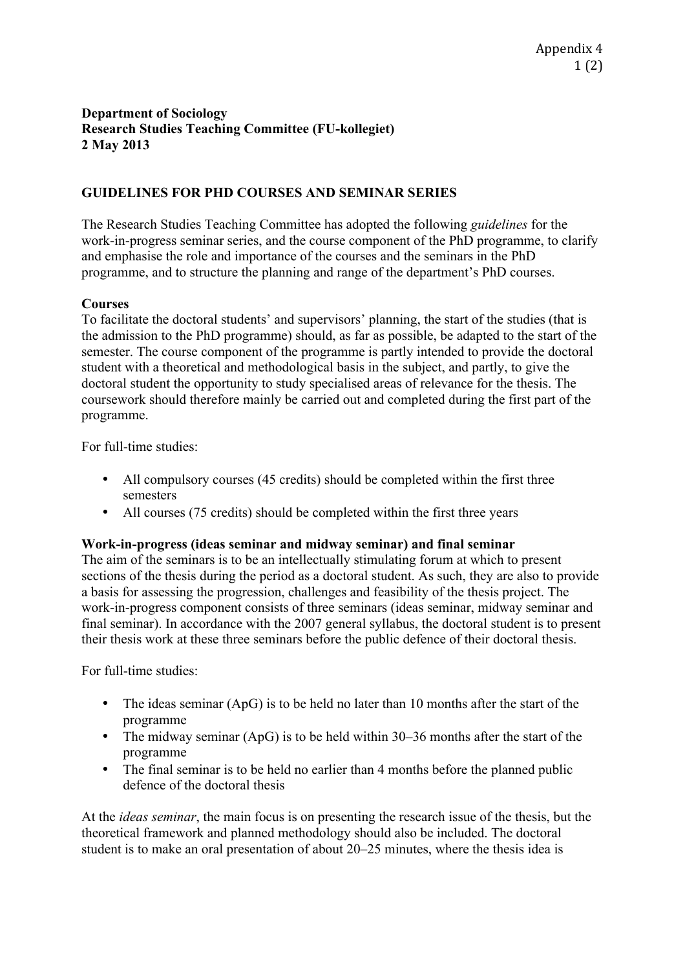## **Department of Sociology Research Studies Teaching Committee (FU-kollegiet) 2 May 2013**

# **GUIDELINES FOR PHD COURSES AND SEMINAR SERIES**

The Research Studies Teaching Committee has adopted the following *guidelines* for the work-in-progress seminar series, and the course component of the PhD programme, to clarify and emphasise the role and importance of the courses and the seminars in the PhD programme, and to structure the planning and range of the department's PhD courses.

### **Courses**

To facilitate the doctoral students' and supervisors' planning, the start of the studies (that is the admission to the PhD programme) should, as far as possible, be adapted to the start of the semester. The course component of the programme is partly intended to provide the doctoral student with a theoretical and methodological basis in the subject, and partly, to give the doctoral student the opportunity to study specialised areas of relevance for the thesis. The coursework should therefore mainly be carried out and completed during the first part of the programme.

For full-time studies:

- All compulsory courses (45 credits) should be completed within the first three semesters
- All courses (75 credits) should be completed within the first three years

### **Work-in-progress (ideas seminar and midway seminar) and final seminar**

The aim of the seminars is to be an intellectually stimulating forum at which to present sections of the thesis during the period as a doctoral student. As such, they are also to provide a basis for assessing the progression, challenges and feasibility of the thesis project. The work-in-progress component consists of three seminars (ideas seminar, midway seminar and final seminar). In accordance with the 2007 general syllabus, the doctoral student is to present their thesis work at these three seminars before the public defence of their doctoral thesis.

For full-time studies:

- The ideas seminar (ApG) is to be held no later than 10 months after the start of the programme
- The midway seminar (ApG) is to be held within 30–36 months after the start of the programme
- The final seminar is to be held no earlier than 4 months before the planned public defence of the doctoral thesis

At the *ideas seminar*, the main focus is on presenting the research issue of the thesis, but the theoretical framework and planned methodology should also be included. The doctoral student is to make an oral presentation of about 20–25 minutes, where the thesis idea is